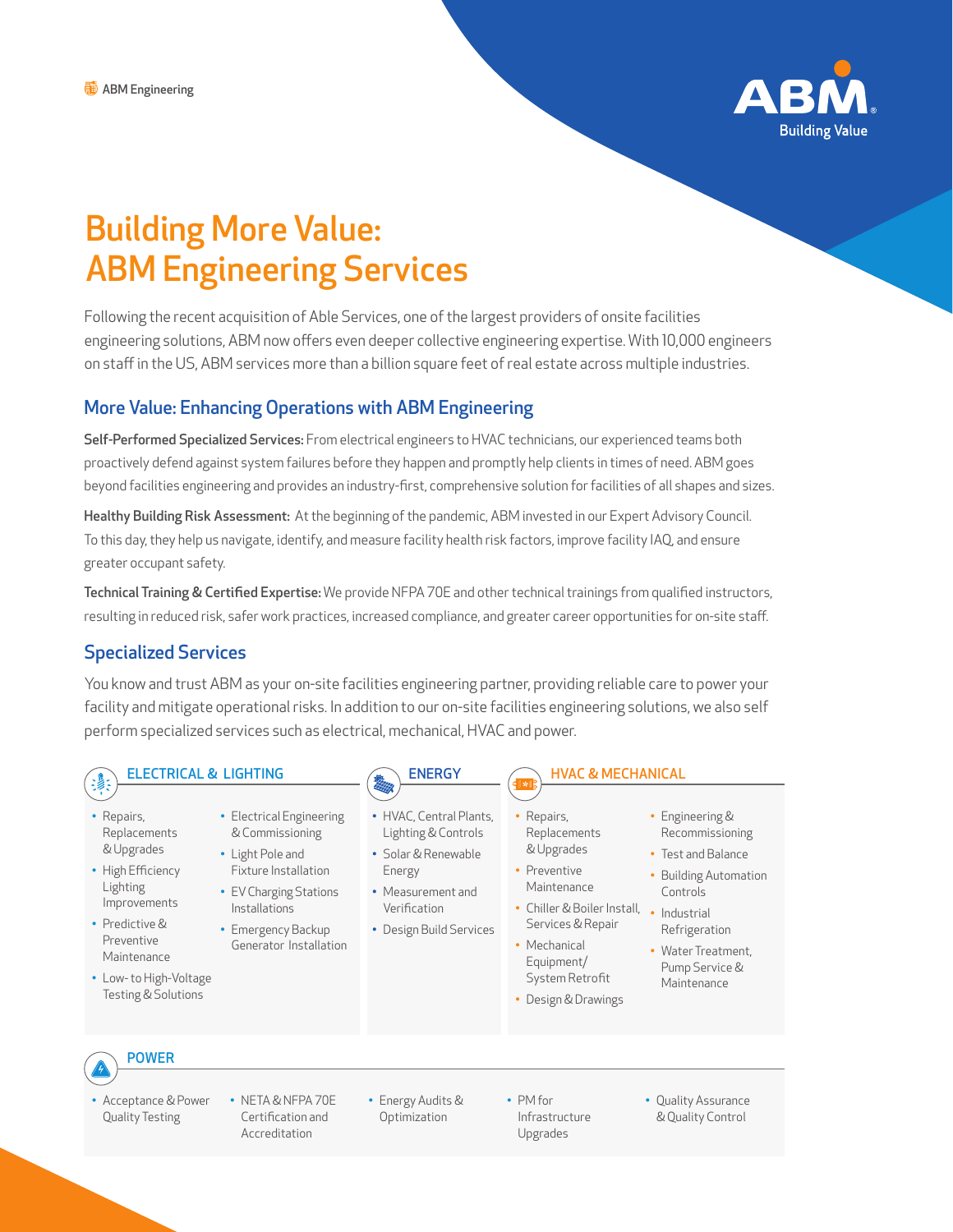

# Building More Value: ABM Engineering Services

Following the recent acquisition of Able Services, one of the largest providers of onsite facilities engineering solutions, ABM now offers even deeper collective engineering expertise. With 10,000 engineers on staff in the US, ABM services more than a billion square feet of real estate across multiple industries.

### More Value: Enhancing Operations with ABM Engineering

Self-Performed Specialized Services: From electrical engineers to HVAC technicians, our experienced teams both proactively defend against system failures before they happen and promptly help clients in times of need. ABM goes beyond facilities engineering and provides an industry-first, comprehensive solution for facilities of all shapes and sizes.

Healthy Building Risk Assessment: At the beginning of the pandemic, ABM invested in our Expert Advisory Council. To this day, they help us navigate, identify, and measure facility health risk factors, improve facility IAQ, and ensure greater occupant safety.

Technical Training & Certified Expertise: We provide NFPA 70E and other technical trainings from qualified instructors, resulting in reduced risk, safer work practices, increased compliance, and greater career opportunities for on-site staff.

# Specialized Services

You know and trust ABM as your on-site facilities engineering partner, providing reliable care to power your facility and mitigate operational risks. In addition to our on-site facilities engineering solutions, we also self perform specialized services such as electrical, mechanical, HVAC and power.

**ENERGY** 

# ELECTRICAL & LIGHTING

- Repairs, Replacements & Upgrades
- High Efficiency Lighting Improvements
- Predictive & Preventive Maintenance
- Low- to High-Voltage Testing & Solutions
- Electrical Engineering & Commissioning
- Light Pole and
- Fixture Installation • EV Charging Stations Installations
- Emergency Backup Generator Installation
- HVAC, Central Plants,
- Lighting & Controls • Solar & Renewable
- Energy • Measurement and Verification
- Design Build Services

#### HVAC & MECHANICAL

- Repairs, Replacements & Upgrades
- Preventive Maintenance
- Chiller & Boiler Install, Industrial Services & Repair
- Mechanical Equipment/ System Retrofit
- Design & Drawings

• PM for

- Engineering & Recommissioning • Test and Balance
	- Building Automation Controls
	- Refrigeration
	- Water Treatment, Pump Service & Maintenance
- 

- POWER
- Acceptance & Power Quality Testing
- NETA & NFPA 70E Certification and Accreditation
- Energy Audits & Optimization
- Infrastructure Upgrades
- Quality Assurance & Quality Control